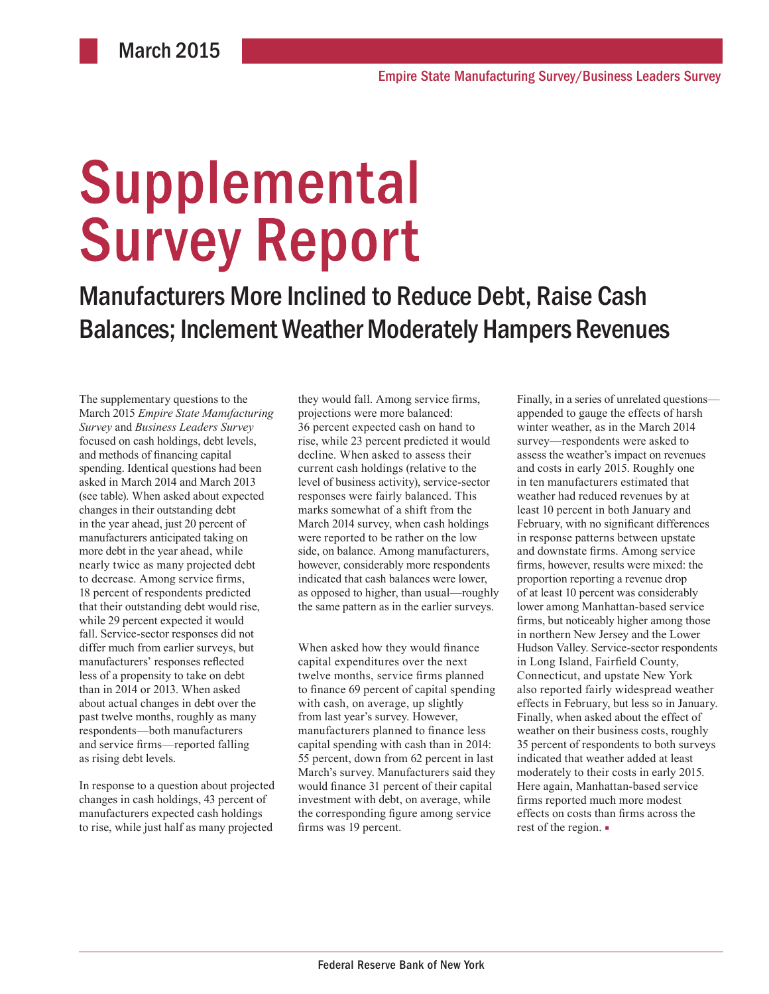# **Supplemental Survey Report**

Manufacturers More Inclined to Reduce Debt, Raise Cash Balances; Inclement Weather Moderately Hampers Revenues

The supplementary questions to the March 2015 *Empire State Manufacturing Survey* and *Business Leaders Survey* focused on cash holdings, debt levels, and methods of financing capital spending. Identical questions had been asked in March 2014 and March 2013 (see table). When asked about expected changes in their outstanding debt in the year ahead, just 20 percent of manufacturers anticipated taking on more debt in the year ahead, while nearly twice as many projected debt to decrease. Among service firms, 18 percent of respondents predicted that their outstanding debt would rise, while 29 percent expected it would fall. Service-sector responses did not differ much from earlier surveys, but manufacturers' responses reflected less of a propensity to take on debt than in 2014 or 2013. When asked about actual changes in debt over the past twelve months, roughly as many respondents—both manufacturers and service firms—reported falling as rising debt levels.

In response to a question about projected changes in cash holdings, 43 percent of manufacturers expected cash holdings to rise, while just half as many projected they would fall. Among service firms, projections were more balanced: 36 percent expected cash on hand to rise, while 23 percent predicted it would decline. When asked to assess their current cash holdings (relative to the level of business activity), service-sector responses were fairly balanced. This marks somewhat of a shift from the March 2014 survey, when cash holdings were reported to be rather on the low side, on balance. Among manufacturers, however, considerably more respondents indicated that cash balances were lower, as opposed to higher, than usual—roughly the same pattern as in the earlier surveys.

When asked how they would finance capital expenditures over the next twelve months, service firms planned to finance 69 percent of capital spending with cash, on average, up slightly from last year's survey. However, manufacturers planned to finance less capital spending with cash than in 2014: 55 percent, down from 62 percent in last March's survey. Manufacturers said they would finance 31 percent of their capital investment with debt, on average, while the corresponding figure among service firms was 19 percent.

Finally, in a series of unrelated questions appended to gauge the effects of harsh winter weather, as in the March 2014 survey—respondents were asked to assess the weather's impact on revenues and costs in early 2015. Roughly one in ten manufacturers estimated that weather had reduced revenues by at least 10 percent in both January and February, with no significant differences in response patterns between upstate and downstate firms. Among service firms, however, results were mixed: the proportion reporting a revenue drop of at least 10 percent was considerably lower among Manhattan-based service firms, but noticeably higher among those in northern New Jersey and the Lower Hudson Valley. Service-sector respondents in Long Island, Fairfield County, Connecticut, and upstate New York also reported fairly widespread weather effects in February, but less so in January. Finally, when asked about the effect of weather on their business costs, roughly 35 percent of respondents to both surveys indicated that weather added at least moderately to their costs in early 2015. Here again, Manhattan-based service firms reported much more modest effects on costs than firms across the rest of the region. ■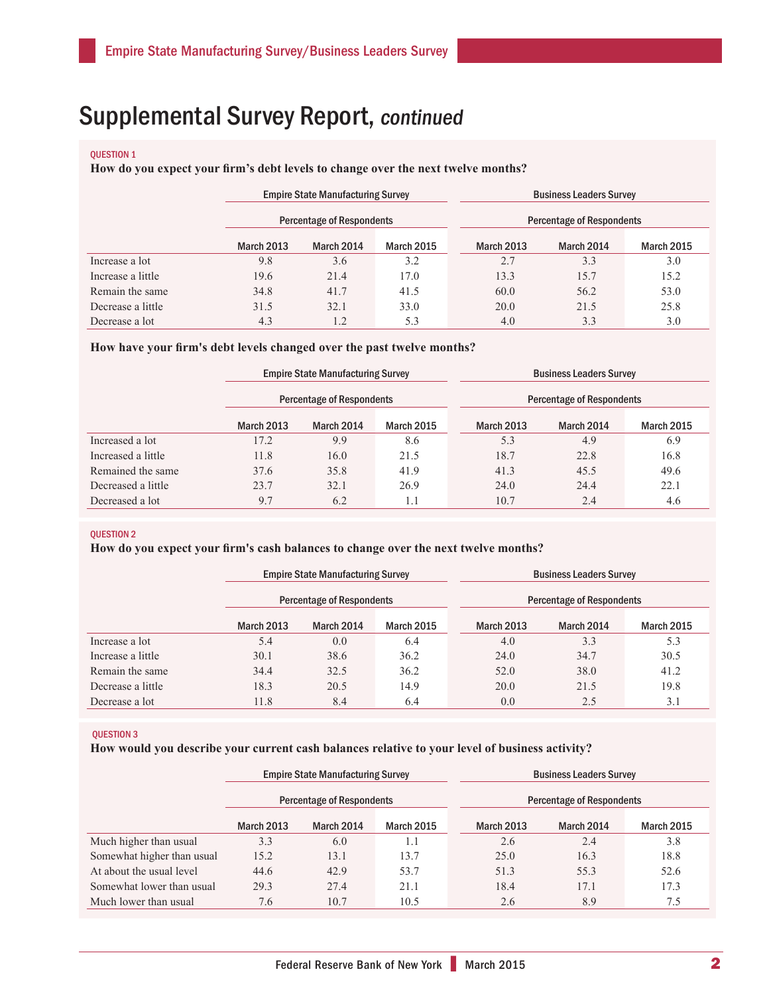#### QUESTION 1

## **How do you expect your firm's debt levels to change over the next twelve months?**

|                   | <b>Empire State Manufacturing Survey</b> |                                  |                   |  | <b>Business Leaders Survey</b>   |            |                   |  |
|-------------------|------------------------------------------|----------------------------------|-------------------|--|----------------------------------|------------|-------------------|--|
|                   |                                          | <b>Percentage of Respondents</b> |                   |  | <b>Percentage of Respondents</b> |            |                   |  |
|                   | <b>March 2013</b>                        | March 2014                       | <b>March 2015</b> |  | <b>March 2013</b>                | March 2014 | <b>March 2015</b> |  |
| Increase a lot    | 9.8                                      | 3.6                              | 3.2               |  | 2.7                              | 3.3        | 3.0               |  |
| Increase a little | 19.6                                     | 21.4                             | 17.0              |  | 13.3                             | 15.7       | 15.2              |  |
| Remain the same   | 34.8                                     | 41.7                             | 41.5              |  | 60.0                             | 56.2       | 53.0              |  |
| Decrease a little | 31.5                                     | 32.1                             | 33.0              |  | 20.0                             | 21.5       | 25.8              |  |
| Decrease a lot    | 4.3                                      | 1.2                              | 5.3               |  | 4.0                              | 3.3        | 3.0               |  |

#### **How have your firm's debt levels changed over the past twelve months?**

|                    | <b>Empire State Manufacturing Survey</b> |            |                   | <b>Business Leaders Survey</b> |            |                   |  |
|--------------------|------------------------------------------|------------|-------------------|--------------------------------|------------|-------------------|--|
|                    | <b>Percentage of Respondents</b>         |            |                   | Percentage of Respondents      |            |                   |  |
|                    | <b>March 2013</b>                        | March 2014 | <b>March 2015</b> | <b>March 2013</b>              | March 2014 | <b>March 2015</b> |  |
| Increased a lot    | 17.2                                     | 9.9        | 8.6               | 5.3                            | 4.9        | 6.9               |  |
| Increased a little | 11.8                                     | 16.0       | 21.5              | 18.7                           | 22.8       | 16.8              |  |
| Remained the same  | 37.6                                     | 35.8       | 41.9              | 41.3                           | 45.5       | 49.6              |  |
| Decreased a little | 23.7                                     | 32.1       | 26.9              | 24.0                           | 24.4       | 22.1              |  |
| Decreased a lot    | 9.7                                      | 6.2        | 1.1               | 10.7                           | 2.4        | 4.6               |  |

#### QUESTION 2

# **How do you expect your firm's cash balances to change over the next twelve months?**

|                   | <b>Empire State Manufacturing Survey</b> |            |            | <b>Business Leaders Survey</b>   |            |                   |  |
|-------------------|------------------------------------------|------------|------------|----------------------------------|------------|-------------------|--|
|                   | <b>Percentage of Respondents</b>         |            |            | <b>Percentage of Respondents</b> |            |                   |  |
|                   | <b>March 2013</b>                        | March 2014 | March 2015 | March 2013                       | March 2014 | <b>March 2015</b> |  |
| Increase a lot    | 5.4                                      | 0.0        | 6.4        | 4.0                              | 3.3        | 5.3               |  |
| Increase a little | 30.1                                     | 38.6       | 36.2       | 24.0                             | 34.7       | 30.5              |  |
| Remain the same   | 34.4                                     | 32.5       | 36.2       | 52.0                             | 38.0       | 41.2              |  |
| Decrease a little | 18.3                                     | 20.5       | 14.9       | 20.0                             | 21.5       | 19.8              |  |
| Decrease a lot    | 11.8                                     | 8.4        | 6.4        | 0.0                              | 2.5        | 3.1               |  |

#### QUESTION 3

#### **How would you describe your current cash balances relative to your level of business activity?**

|                            | <b>Empire State Manufacturing Survey</b> |            |                   | <b>Business Leaders Survey</b>   |            |                   |  |
|----------------------------|------------------------------------------|------------|-------------------|----------------------------------|------------|-------------------|--|
|                            | <b>Percentage of Respondents</b>         |            |                   | <b>Percentage of Respondents</b> |            |                   |  |
|                            | <b>March 2013</b>                        | March 2014 | <b>March 2015</b> | <b>March 2013</b>                | March 2014 | <b>March 2015</b> |  |
| Much higher than usual     | 3.3                                      | 6.0        | 1.1               | 2.6                              | 2.4        | 3.8               |  |
| Somewhat higher than usual | 15.2                                     | 13.1       | 13.7              | 25.0                             | 16.3       | 18.8              |  |
| At about the usual level   | 44.6                                     | 42.9       | 53.7              | 51.3                             | 55.3       | 52.6              |  |
| Somewhat lower than usual  | 29.3                                     | 27.4       | 21.1              | 18.4                             | 17.1       | 17.3              |  |
| Much lower than usual      | 7.6                                      | 10.7       | 10.5              | 2.6                              | 8.9        | 7.5               |  |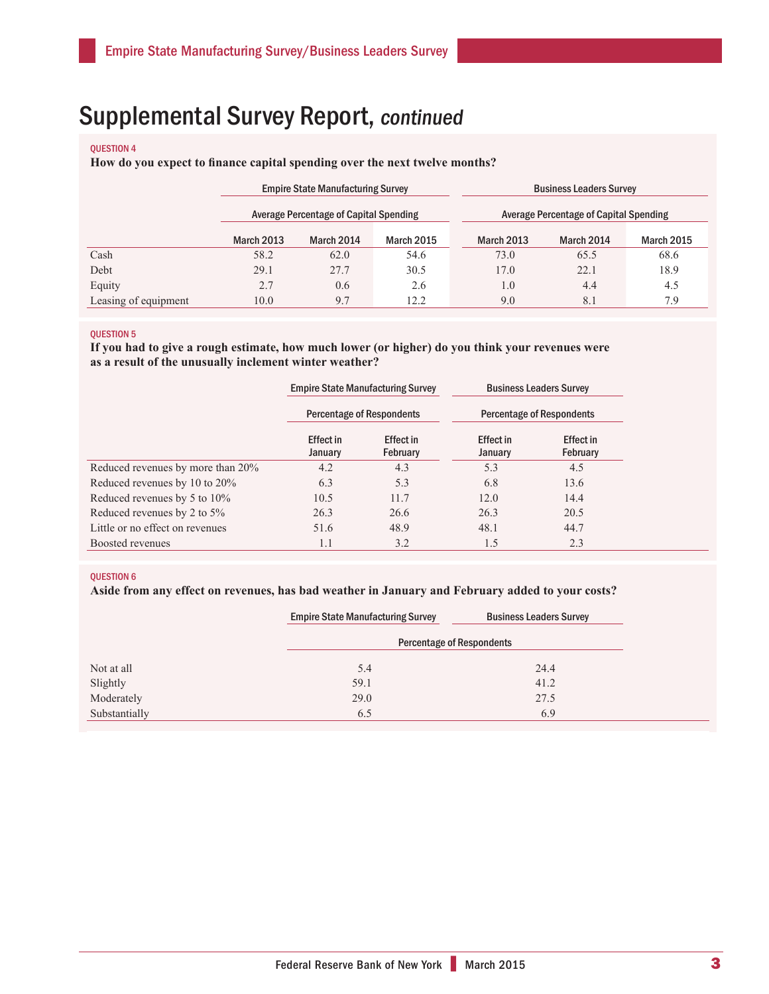#### QUESTION 4

**How do you expect to finance capital spending over the next twelve months?**

|                      | <b>Empire State Manufacturing Survey</b>      |            |                   | <b>Business Leaders Survey</b>         |            |                   |  |
|----------------------|-----------------------------------------------|------------|-------------------|----------------------------------------|------------|-------------------|--|
|                      | <b>Average Percentage of Capital Spending</b> |            |                   | Average Percentage of Capital Spending |            |                   |  |
|                      | <b>March 2013</b>                             | March 2014 | <b>March 2015</b> | <b>March 2013</b>                      | March 2014 | <b>March 2015</b> |  |
| Cash                 | 58.2                                          | 62.0       | 54.6              | 73.0                                   | 65.5       | 68.6              |  |
| Debt                 | 29.1                                          | 27.7       | 30.5              | 17.0                                   | 22.1       | 18.9              |  |
| Equity               | 2.7                                           | 0.6        | 2.6               | 1.0                                    | 4.4        | 4.5               |  |
| Leasing of equipment | 10.0                                          | 9.7        | 12.2              | 9.0                                    | 8.1        | 7.9               |  |

#### QUESTION 5

**If you had to give a rough estimate, how much lower (or higher) do you think your revenues were as a result of the unusually inclement winter weather?**

|                                   |                             | <b>Empire State Manufacturing Survey</b> |                             | <b>Business Leaders Survey</b> |  |
|-----------------------------------|-----------------------------|------------------------------------------|-----------------------------|--------------------------------|--|
|                                   |                             | <b>Percentage of Respondents</b>         | Percentage of Respondents   |                                |  |
|                                   | <b>Effect in</b><br>January | Effect in<br>February                    | <b>Effect</b> in<br>January | Effect in<br>February          |  |
| Reduced revenues by more than 20% | 4.2                         | 4.3                                      | 5.3                         | 4.5                            |  |
| Reduced revenues by 10 to 20%     | 6.3                         | 5.3                                      | 6.8                         | 13.6                           |  |
| Reduced revenues by 5 to 10%      | 10.5                        | 11.7                                     | 12.0                        | 14.4                           |  |
| Reduced revenues by 2 to 5%       | 26.3                        | 26.6                                     | 26.3                        | 20.5                           |  |
| Little or no effect on revenues   | 51.6                        | 48.9                                     | 48.1                        | 44.7                           |  |
| Boosted revenues                  | 1.1                         | 3.2                                      | 1.5                         | 2.3                            |  |

#### QUESTION 6

## **Aside from any effect on revenues, has bad weather in January and February added to your costs?**

|               | <b>Empire State Manufacturing Survey</b> | <b>Business Leaders Survey</b> |  |  |  |  |
|---------------|------------------------------------------|--------------------------------|--|--|--|--|
|               | <b>Percentage of Respondents</b>         |                                |  |  |  |  |
| Not at all    | 5.4                                      | 24.4                           |  |  |  |  |
| Slightly      | 59.1                                     | 41.2                           |  |  |  |  |
| Moderately    | 29.0                                     | 27.5                           |  |  |  |  |
| Substantially | 6.5                                      | 6.9                            |  |  |  |  |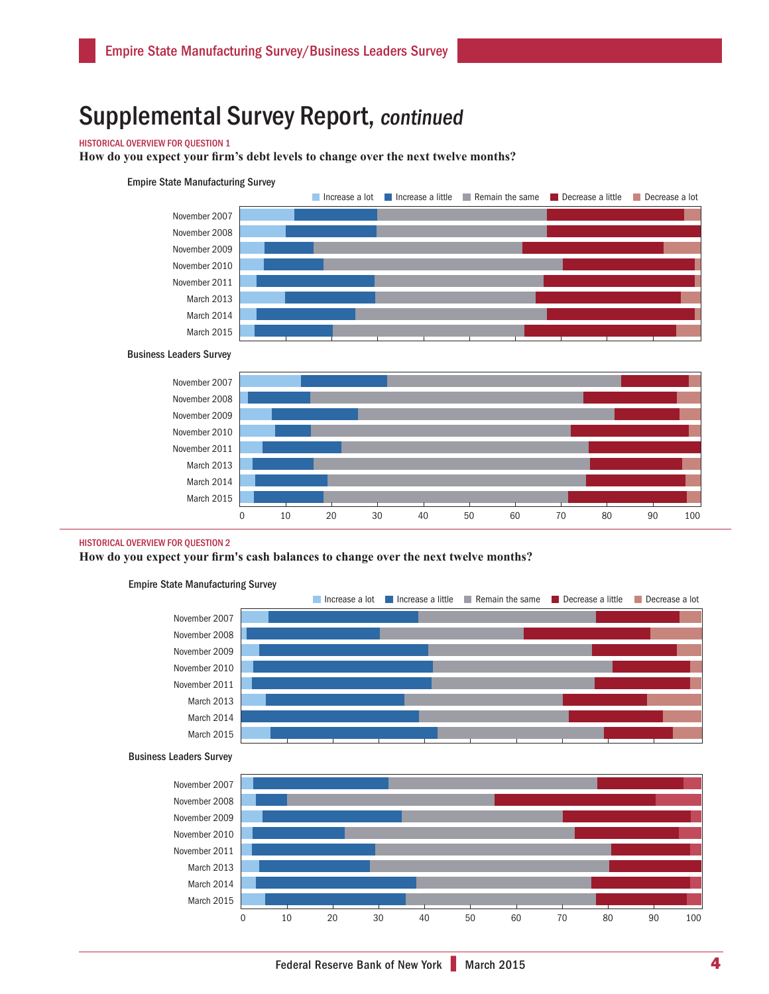## HISTORICAL OVERVIEW FOR QUESTION 1

**How do you expect your firm's debt levels to change over the next twelve months?** 

#### Empire State Manufacturing Survey



Business Leaders Survey



#### HISTORICAL OVERVIEW FOR QUESTION 2

**How do you expect your firm's cash balances to change over the next twelve months?**